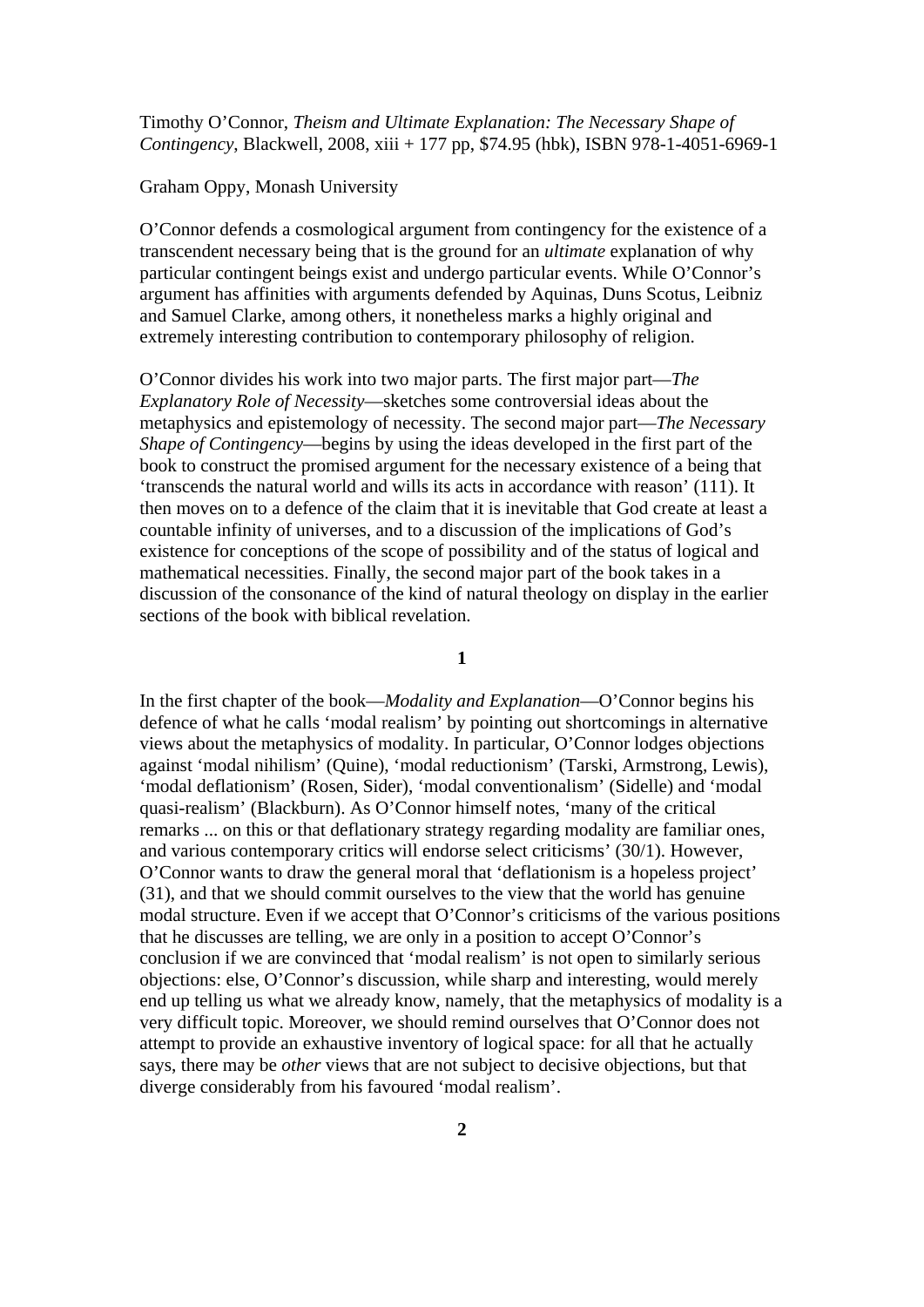Timothy O'Connor, *Theism and Ultimate Explanation: The Necessary Shape of Contingency*, Blackwell, 2008, xiii + 177 pp, \$74.95 (hbk), ISBN 978-1-4051-6969-1

## Graham Oppy, Monash University

O'Connor defends a cosmological argument from contingency for the existence of a transcendent necessary being that is the ground for an *ultimate* explanation of why particular contingent beings exist and undergo particular events. While O'Connor's argument has affinities with arguments defended by Aquinas, Duns Scotus, Leibniz and Samuel Clarke, among others, it nonetheless marks a highly original and extremely interesting contribution to contemporary philosophy of religion.

O'Connor divides his work into two major parts. The first major part—*The Explanatory Role of Necessity*—sketches some controversial ideas about the metaphysics and epistemology of necessity. The second major part—*The Necessary Shape of Contingency*—begins by using the ideas developed in the first part of the book to construct the promised argument for the necessary existence of a being that 'transcends the natural world and wills its acts in accordance with reason' (111). It then moves on to a defence of the claim that it is inevitable that God create at least a countable infinity of universes, and to a discussion of the implications of God's existence for conceptions of the scope of possibility and of the status of logical and mathematical necessities. Finally, the second major part of the book takes in a discussion of the consonance of the kind of natural theology on display in the earlier sections of the book with biblical revelation.

**1** 

In the first chapter of the book—*Modality and Explanation*—O'Connor begins his defence of what he calls 'modal realism' by pointing out shortcomings in alternative views about the metaphysics of modality. In particular, O'Connor lodges objections against 'modal nihilism' (Quine), 'modal reductionism' (Tarski, Armstrong, Lewis), 'modal deflationism' (Rosen, Sider), 'modal conventionalism' (Sidelle) and 'modal quasi-realism' (Blackburn). As O'Connor himself notes, 'many of the critical remarks ... on this or that deflationary strategy regarding modality are familiar ones, and various contemporary critics will endorse select criticisms' (30/1). However, O'Connor wants to draw the general moral that 'deflationism is a hopeless project' (31), and that we should commit ourselves to the view that the world has genuine modal structure. Even if we accept that O'Connor's criticisms of the various positions that he discusses are telling, we are only in a position to accept O'Connor's conclusion if we are convinced that 'modal realism' is not open to similarly serious objections: else, O'Connor's discussion, while sharp and interesting, would merely end up telling us what we already know, namely, that the metaphysics of modality is a very difficult topic. Moreover, we should remind ourselves that O'Connor does not attempt to provide an exhaustive inventory of logical space: for all that he actually says, there may be *other* views that are not subject to decisive objections, but that diverge considerably from his favoured 'modal realism'.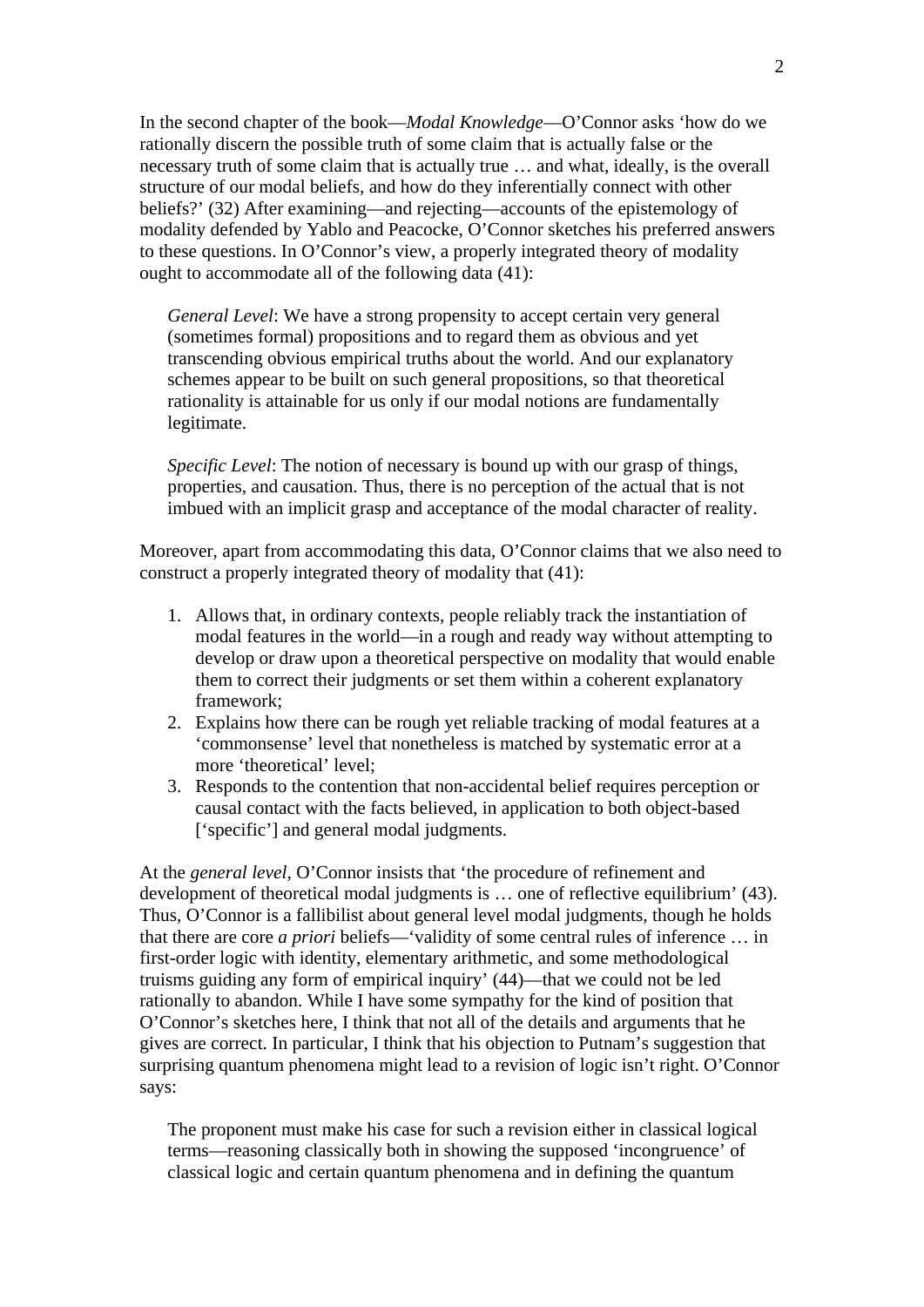In the second chapter of the book—*Modal Knowledge*—O'Connor asks 'how do we rationally discern the possible truth of some claim that is actually false or the necessary truth of some claim that is actually true … and what, ideally, is the overall structure of our modal beliefs, and how do they inferentially connect with other beliefs?' (32) After examining—and rejecting—accounts of the epistemology of modality defended by Yablo and Peacocke, O'Connor sketches his preferred answers to these questions. In O'Connor's view, a properly integrated theory of modality ought to accommodate all of the following data (41):

*General Level*: We have a strong propensity to accept certain very general (sometimes formal) propositions and to regard them as obvious and yet transcending obvious empirical truths about the world. And our explanatory schemes appear to be built on such general propositions, so that theoretical rationality is attainable for us only if our modal notions are fundamentally legitimate.

*Specific Level:* The notion of necessary is bound up with our grasp of things, properties, and causation. Thus, there is no perception of the actual that is not imbued with an implicit grasp and acceptance of the modal character of reality.

Moreover, apart from accommodating this data, O'Connor claims that we also need to construct a properly integrated theory of modality that (41):

- 1. Allows that, in ordinary contexts, people reliably track the instantiation of modal features in the world—in a rough and ready way without attempting to develop or draw upon a theoretical perspective on modality that would enable them to correct their judgments or set them within a coherent explanatory framework;
- 2. Explains how there can be rough yet reliable tracking of modal features at a 'commonsense' level that nonetheless is matched by systematic error at a more 'theoretical' level;
- 3. Responds to the contention that non-accidental belief requires perception or causal contact with the facts believed, in application to both object-based ['specific'] and general modal judgments.

At the *general level*, O'Connor insists that 'the procedure of refinement and development of theoretical modal judgments is … one of reflective equilibrium' (43). Thus, O'Connor is a fallibilist about general level modal judgments, though he holds that there are core *a priori* beliefs—'validity of some central rules of inference … in first-order logic with identity, elementary arithmetic, and some methodological truisms guiding any form of empirical inquiry' (44)—that we could not be led rationally to abandon. While I have some sympathy for the kind of position that O'Connor's sketches here, I think that not all of the details and arguments that he gives are correct. In particular, I think that his objection to Putnam's suggestion that surprising quantum phenomena might lead to a revision of logic isn't right. O'Connor says:

The proponent must make his case for such a revision either in classical logical terms—reasoning classically both in showing the supposed 'incongruence' of classical logic and certain quantum phenomena and in defining the quantum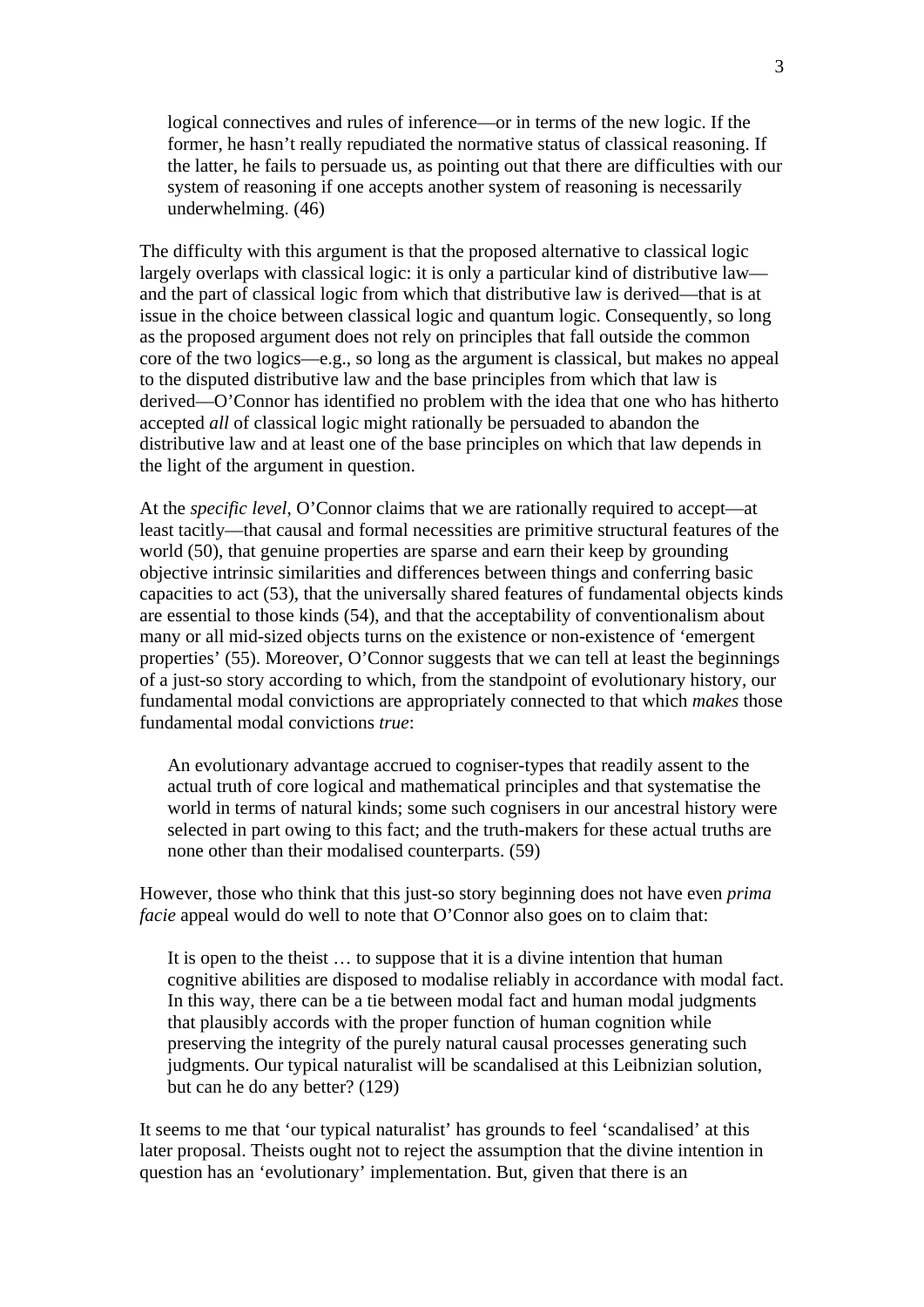logical connectives and rules of inference—or in terms of the new logic. If the former, he hasn't really repudiated the normative status of classical reasoning. If the latter, he fails to persuade us, as pointing out that there are difficulties with our system of reasoning if one accepts another system of reasoning is necessarily underwhelming. (46)

The difficulty with this argument is that the proposed alternative to classical logic largely overlaps with classical logic: it is only a particular kind of distributive law and the part of classical logic from which that distributive law is derived—that is at issue in the choice between classical logic and quantum logic. Consequently, so long as the proposed argument does not rely on principles that fall outside the common core of the two logics—e.g., so long as the argument is classical, but makes no appeal to the disputed distributive law and the base principles from which that law is derived—O'Connor has identified no problem with the idea that one who has hitherto accepted *all* of classical logic might rationally be persuaded to abandon the distributive law and at least one of the base principles on which that law depends in the light of the argument in question.

At the *specific level*, O'Connor claims that we are rationally required to accept—at least tacitly—that causal and formal necessities are primitive structural features of the world (50), that genuine properties are sparse and earn their keep by grounding objective intrinsic similarities and differences between things and conferring basic capacities to act (53), that the universally shared features of fundamental objects kinds are essential to those kinds (54), and that the acceptability of conventionalism about many or all mid-sized objects turns on the existence or non-existence of 'emergent properties' (55). Moreover, O'Connor suggests that we can tell at least the beginnings of a just-so story according to which, from the standpoint of evolutionary history, our fundamental modal convictions are appropriately connected to that which *makes* those fundamental modal convictions *true*:

An evolutionary advantage accrued to cogniser-types that readily assent to the actual truth of core logical and mathematical principles and that systematise the world in terms of natural kinds; some such cognisers in our ancestral history were selected in part owing to this fact; and the truth-makers for these actual truths are none other than their modalised counterparts. (59)

However, those who think that this just-so story beginning does not have even *prima facie* appeal would do well to note that O'Connor also goes on to claim that:

It is open to the theist … to suppose that it is a divine intention that human cognitive abilities are disposed to modalise reliably in accordance with modal fact. In this way, there can be a tie between modal fact and human modal judgments that plausibly accords with the proper function of human cognition while preserving the integrity of the purely natural causal processes generating such judgments. Our typical naturalist will be scandalised at this Leibnizian solution, but can he do any better? (129)

It seems to me that 'our typical naturalist' has grounds to feel 'scandalised' at this later proposal. Theists ought not to reject the assumption that the divine intention in question has an 'evolutionary' implementation. But, given that there is an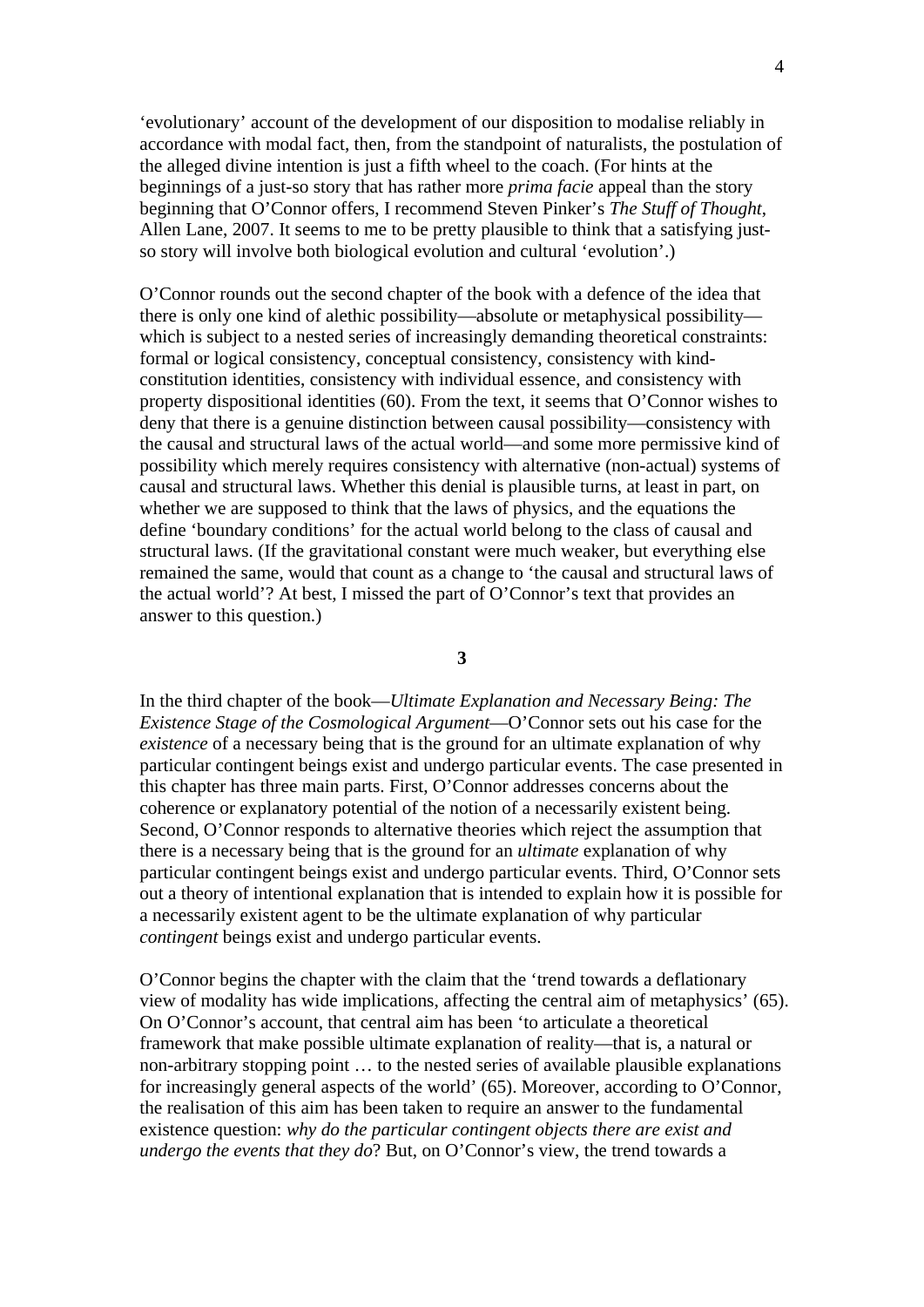'evolutionary' account of the development of our disposition to modalise reliably in accordance with modal fact, then, from the standpoint of naturalists, the postulation of the alleged divine intention is just a fifth wheel to the coach. (For hints at the beginnings of a just-so story that has rather more *prima facie* appeal than the story beginning that O'Connor offers, I recommend Steven Pinker's *The Stuff of Thought*, Allen Lane, 2007. It seems to me to be pretty plausible to think that a satisfying justso story will involve both biological evolution and cultural 'evolution'.)

O'Connor rounds out the second chapter of the book with a defence of the idea that there is only one kind of alethic possibility—absolute or metaphysical possibility which is subject to a nested series of increasingly demanding theoretical constraints: formal or logical consistency, conceptual consistency, consistency with kindconstitution identities, consistency with individual essence, and consistency with property dispositional identities (60). From the text, it seems that O'Connor wishes to deny that there is a genuine distinction between causal possibility—consistency with the causal and structural laws of the actual world—and some more permissive kind of possibility which merely requires consistency with alternative (non-actual) systems of causal and structural laws. Whether this denial is plausible turns, at least in part, on whether we are supposed to think that the laws of physics, and the equations the define 'boundary conditions' for the actual world belong to the class of causal and structural laws. (If the gravitational constant were much weaker, but everything else remained the same, would that count as a change to 'the causal and structural laws of the actual world'? At best, I missed the part of O'Connor's text that provides an answer to this question.)

**3** 

In the third chapter of the book—*Ultimate Explanation and Necessary Being: The Existence Stage of the Cosmological Argument*—O'Connor sets out his case for the *existence* of a necessary being that is the ground for an ultimate explanation of why particular contingent beings exist and undergo particular events. The case presented in this chapter has three main parts. First, O'Connor addresses concerns about the coherence or explanatory potential of the notion of a necessarily existent being. Second, O'Connor responds to alternative theories which reject the assumption that there is a necessary being that is the ground for an *ultimate* explanation of why particular contingent beings exist and undergo particular events. Third, O'Connor sets out a theory of intentional explanation that is intended to explain how it is possible for a necessarily existent agent to be the ultimate explanation of why particular *contingent* beings exist and undergo particular events.

O'Connor begins the chapter with the claim that the 'trend towards a deflationary view of modality has wide implications, affecting the central aim of metaphysics' (65). On O'Connor's account, that central aim has been 'to articulate a theoretical framework that make possible ultimate explanation of reality—that is, a natural or non-arbitrary stopping point … to the nested series of available plausible explanations for increasingly general aspects of the world' (65). Moreover, according to O'Connor, the realisation of this aim has been taken to require an answer to the fundamental existence question: *why do the particular contingent objects there are exist and undergo the events that they do*? But, on O'Connor's view, the trend towards a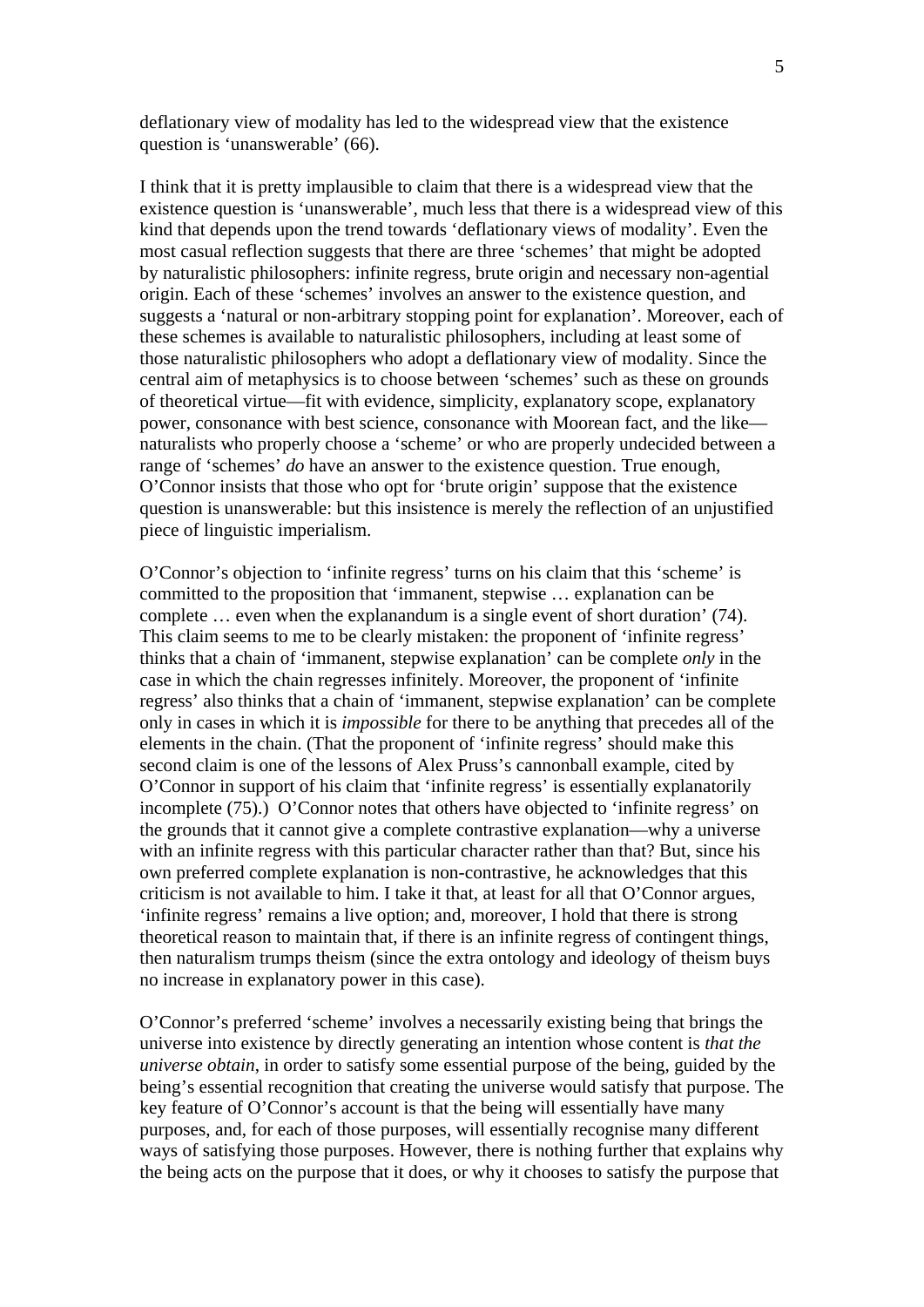deflationary view of modality has led to the widespread view that the existence question is 'unanswerable' (66).

I think that it is pretty implausible to claim that there is a widespread view that the existence question is 'unanswerable', much less that there is a widespread view of this kind that depends upon the trend towards 'deflationary views of modality'. Even the most casual reflection suggests that there are three 'schemes' that might be adopted by naturalistic philosophers: infinite regress, brute origin and necessary non-agential origin. Each of these 'schemes' involves an answer to the existence question, and suggests a 'natural or non-arbitrary stopping point for explanation'. Moreover, each of these schemes is available to naturalistic philosophers, including at least some of those naturalistic philosophers who adopt a deflationary view of modality. Since the central aim of metaphysics is to choose between 'schemes' such as these on grounds of theoretical virtue—fit with evidence, simplicity, explanatory scope, explanatory power, consonance with best science, consonance with Moorean fact, and the like naturalists who properly choose a 'scheme' or who are properly undecided between a range of 'schemes' *do* have an answer to the existence question. True enough, O'Connor insists that those who opt for 'brute origin' suppose that the existence question is unanswerable: but this insistence is merely the reflection of an unjustified piece of linguistic imperialism.

O'Connor's objection to 'infinite regress' turns on his claim that this 'scheme' is committed to the proposition that 'immanent, stepwise … explanation can be complete … even when the explanandum is a single event of short duration' (74). This claim seems to me to be clearly mistaken: the proponent of 'infinite regress' thinks that a chain of 'immanent, stepwise explanation' can be complete *only* in the case in which the chain regresses infinitely. Moreover, the proponent of 'infinite regress' also thinks that a chain of 'immanent, stepwise explanation' can be complete only in cases in which it is *impossible* for there to be anything that precedes all of the elements in the chain. (That the proponent of 'infinite regress' should make this second claim is one of the lessons of Alex Pruss's cannonball example, cited by O'Connor in support of his claim that 'infinite regress' is essentially explanatorily incomplete (75).) O'Connor notes that others have objected to 'infinite regress' on the grounds that it cannot give a complete contrastive explanation—why a universe with an infinite regress with this particular character rather than that? But, since his own preferred complete explanation is non-contrastive, he acknowledges that this criticism is not available to him. I take it that, at least for all that O'Connor argues, 'infinite regress' remains a live option; and, moreover, I hold that there is strong theoretical reason to maintain that, if there is an infinite regress of contingent things, then naturalism trumps theism (since the extra ontology and ideology of theism buys no increase in explanatory power in this case).

O'Connor's preferred 'scheme' involves a necessarily existing being that brings the universe into existence by directly generating an intention whose content is *that the universe obtain*, in order to satisfy some essential purpose of the being, guided by the being's essential recognition that creating the universe would satisfy that purpose. The key feature of O'Connor's account is that the being will essentially have many purposes, and, for each of those purposes, will essentially recognise many different ways of satisfying those purposes. However, there is nothing further that explains why the being acts on the purpose that it does, or why it chooses to satisfy the purpose that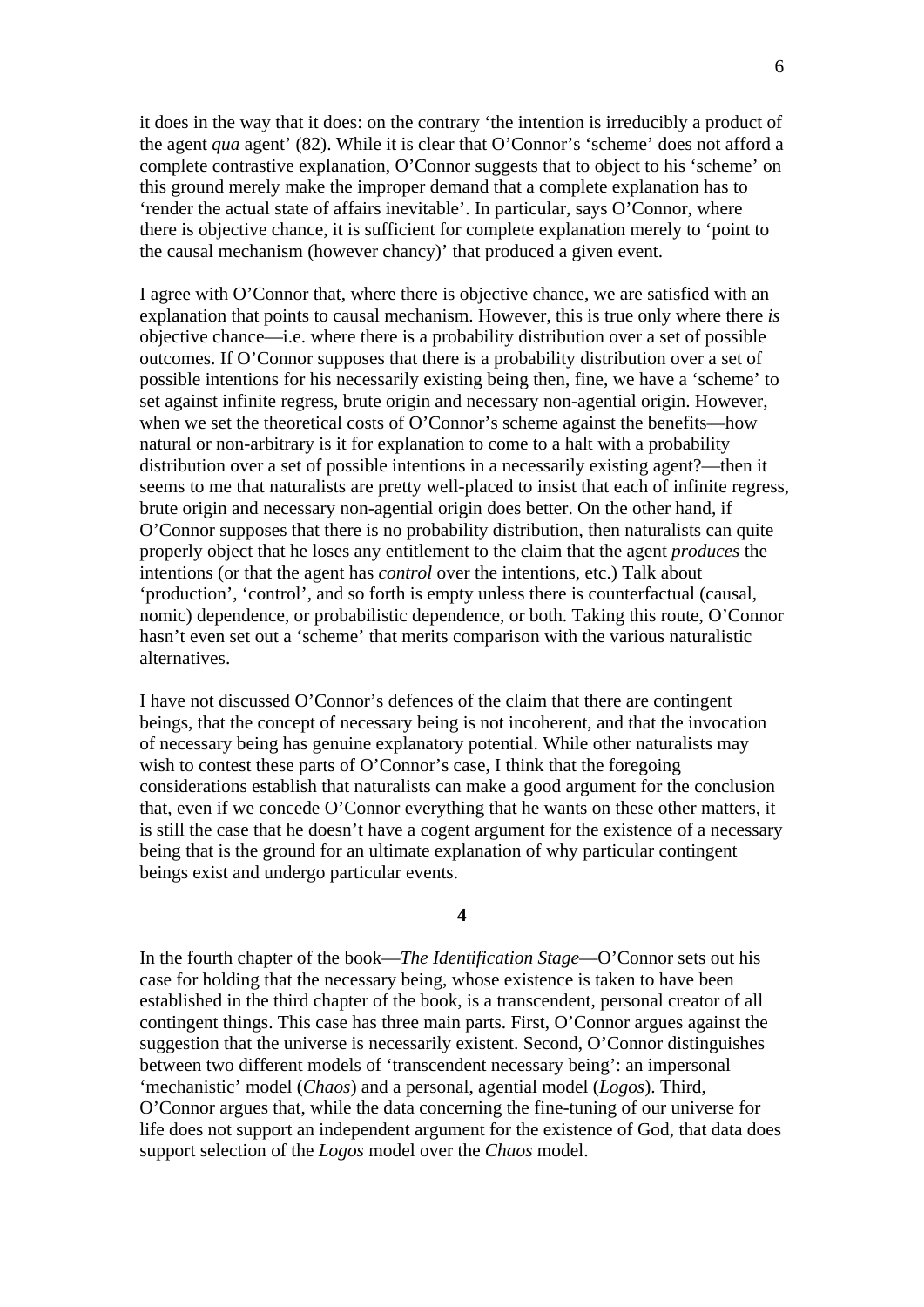it does in the way that it does: on the contrary 'the intention is irreducibly a product of the agent *qua* agent' (82). While it is clear that O'Connor's 'scheme' does not afford a complete contrastive explanation, O'Connor suggests that to object to his 'scheme' on this ground merely make the improper demand that a complete explanation has to 'render the actual state of affairs inevitable'. In particular, says O'Connor, where there is objective chance, it is sufficient for complete explanation merely to 'point to the causal mechanism (however chancy)' that produced a given event.

I agree with O'Connor that, where there is objective chance, we are satisfied with an explanation that points to causal mechanism. However, this is true only where there *is* objective chance—i.e. where there is a probability distribution over a set of possible outcomes. If O'Connor supposes that there is a probability distribution over a set of possible intentions for his necessarily existing being then, fine, we have a 'scheme' to set against infinite regress, brute origin and necessary non-agential origin. However, when we set the theoretical costs of O'Connor's scheme against the benefits—how natural or non-arbitrary is it for explanation to come to a halt with a probability distribution over a set of possible intentions in a necessarily existing agent?—then it seems to me that naturalists are pretty well-placed to insist that each of infinite regress, brute origin and necessary non-agential origin does better. On the other hand, if O'Connor supposes that there is no probability distribution, then naturalists can quite properly object that he loses any entitlement to the claim that the agent *produces* the intentions (or that the agent has *control* over the intentions, etc.) Talk about 'production', 'control', and so forth is empty unless there is counterfactual (causal, nomic) dependence, or probabilistic dependence, or both. Taking this route, O'Connor hasn't even set out a 'scheme' that merits comparison with the various naturalistic alternatives.

I have not discussed O'Connor's defences of the claim that there are contingent beings, that the concept of necessary being is not incoherent, and that the invocation of necessary being has genuine explanatory potential. While other naturalists may wish to contest these parts of O'Connor's case. I think that the foregoing considerations establish that naturalists can make a good argument for the conclusion that, even if we concede O'Connor everything that he wants on these other matters, it is still the case that he doesn't have a cogent argument for the existence of a necessary being that is the ground for an ultimate explanation of why particular contingent beings exist and undergo particular events.

**4** 

In the fourth chapter of the book—*The Identification Stage*—O'Connor sets out his case for holding that the necessary being, whose existence is taken to have been established in the third chapter of the book, is a transcendent, personal creator of all contingent things. This case has three main parts. First, O'Connor argues against the suggestion that the universe is necessarily existent. Second, O'Connor distinguishes between two different models of 'transcendent necessary being': an impersonal 'mechanistic' model (*Chaos*) and a personal, agential model (*Logos*). Third, O'Connor argues that, while the data concerning the fine-tuning of our universe for life does not support an independent argument for the existence of God, that data does support selection of the *Logos* model over the *Chaos* model.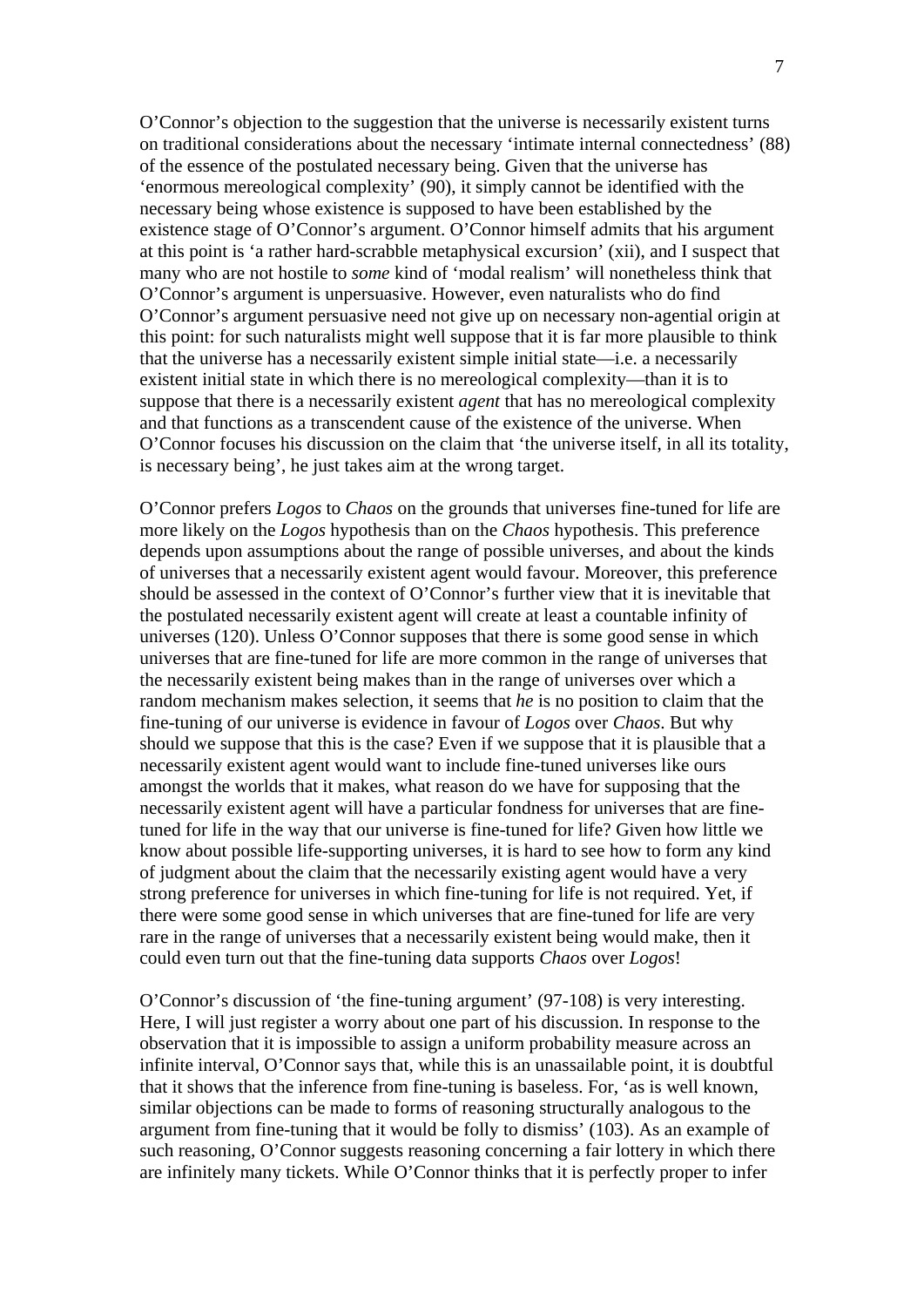O'Connor's objection to the suggestion that the universe is necessarily existent turns on traditional considerations about the necessary 'intimate internal connectedness' (88) of the essence of the postulated necessary being. Given that the universe has 'enormous mereological complexity' (90), it simply cannot be identified with the necessary being whose existence is supposed to have been established by the existence stage of O'Connor's argument. O'Connor himself admits that his argument at this point is 'a rather hard-scrabble metaphysical excursion' (xii), and I suspect that many who are not hostile to *some* kind of 'modal realism' will nonetheless think that O'Connor's argument is unpersuasive. However, even naturalists who do find O'Connor's argument persuasive need not give up on necessary non-agential origin at this point: for such naturalists might well suppose that it is far more plausible to think that the universe has a necessarily existent simple initial state—i.e. a necessarily existent initial state in which there is no mereological complexity—than it is to suppose that there is a necessarily existent *agent* that has no mereological complexity and that functions as a transcendent cause of the existence of the universe. When O'Connor focuses his discussion on the claim that 'the universe itself, in all its totality, is necessary being', he just takes aim at the wrong target.

O'Connor prefers *Logos* to *Chaos* on the grounds that universes fine-tuned for life are more likely on the *Logos* hypothesis than on the *Chaos* hypothesis. This preference depends upon assumptions about the range of possible universes, and about the kinds of universes that a necessarily existent agent would favour. Moreover, this preference should be assessed in the context of O'Connor's further view that it is inevitable that the postulated necessarily existent agent will create at least a countable infinity of universes (120). Unless O'Connor supposes that there is some good sense in which universes that are fine-tuned for life are more common in the range of universes that the necessarily existent being makes than in the range of universes over which a random mechanism makes selection, it seems that *he* is no position to claim that the fine-tuning of our universe is evidence in favour of *Logos* over *Chaos*. But why should we suppose that this is the case? Even if we suppose that it is plausible that a necessarily existent agent would want to include fine-tuned universes like ours amongst the worlds that it makes, what reason do we have for supposing that the necessarily existent agent will have a particular fondness for universes that are finetuned for life in the way that our universe is fine-tuned for life? Given how little we know about possible life-supporting universes, it is hard to see how to form any kind of judgment about the claim that the necessarily existing agent would have a very strong preference for universes in which fine-tuning for life is not required. Yet, if there were some good sense in which universes that are fine-tuned for life are very rare in the range of universes that a necessarily existent being would make, then it could even turn out that the fine-tuning data supports *Chaos* over *Logos*!

O'Connor's discussion of 'the fine-tuning argument' (97-108) is very interesting. Here, I will just register a worry about one part of his discussion. In response to the observation that it is impossible to assign a uniform probability measure across an infinite interval, O'Connor says that, while this is an unassailable point, it is doubtful that it shows that the inference from fine-tuning is baseless. For, 'as is well known, similar objections can be made to forms of reasoning structurally analogous to the argument from fine-tuning that it would be folly to dismiss' (103). As an example of such reasoning, O'Connor suggests reasoning concerning a fair lottery in which there are infinitely many tickets. While O'Connor thinks that it is perfectly proper to infer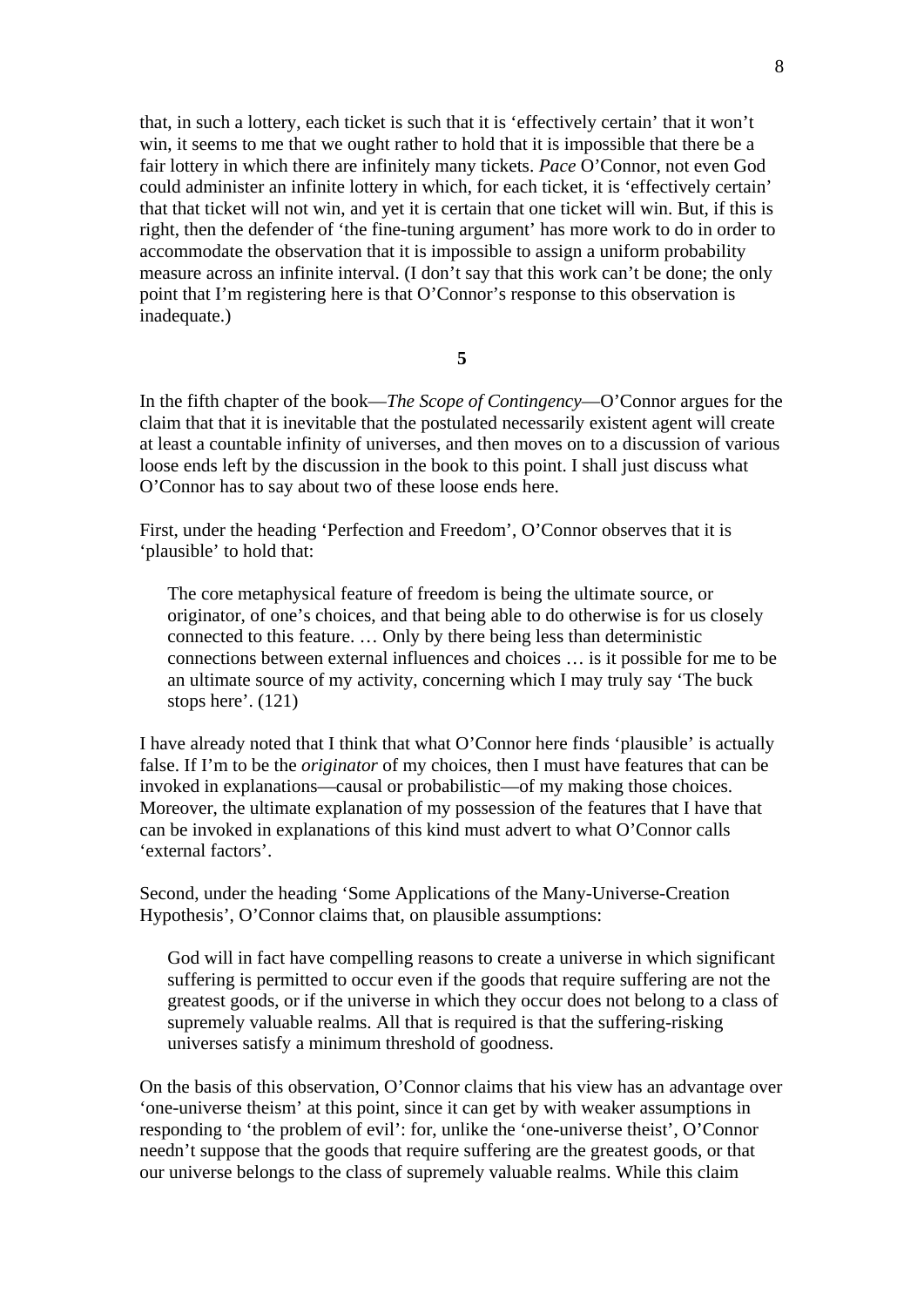that, in such a lottery, each ticket is such that it is 'effectively certain' that it won't win, it seems to me that we ought rather to hold that it is impossible that there be a fair lottery in which there are infinitely many tickets. *Pace* O'Connor, not even God could administer an infinite lottery in which, for each ticket, it is 'effectively certain' that that ticket will not win, and yet it is certain that one ticket will win. But, if this is right, then the defender of 'the fine-tuning argument' has more work to do in order to accommodate the observation that it is impossible to assign a uniform probability measure across an infinite interval. (I don't say that this work can't be done; the only point that I'm registering here is that O'Connor's response to this observation is inadequate.)

**5** 

In the fifth chapter of the book—*The Scope of Contingency*—O'Connor argues for the claim that that it is inevitable that the postulated necessarily existent agent will create at least a countable infinity of universes, and then moves on to a discussion of various loose ends left by the discussion in the book to this point. I shall just discuss what O'Connor has to say about two of these loose ends here.

First, under the heading 'Perfection and Freedom', O'Connor observes that it is 'plausible' to hold that:

The core metaphysical feature of freedom is being the ultimate source, or originator, of one's choices, and that being able to do otherwise is for us closely connected to this feature. … Only by there being less than deterministic connections between external influences and choices … is it possible for me to be an ultimate source of my activity, concerning which I may truly say 'The buck stops here'. (121)

I have already noted that I think that what O'Connor here finds 'plausible' is actually false. If I'm to be the *originator* of my choices, then I must have features that can be invoked in explanations—causal or probabilistic—of my making those choices. Moreover, the ultimate explanation of my possession of the features that I have that can be invoked in explanations of this kind must advert to what O'Connor calls 'external factors'.

Second, under the heading 'Some Applications of the Many-Universe-Creation Hypothesis', O'Connor claims that, on plausible assumptions:

God will in fact have compelling reasons to create a universe in which significant suffering is permitted to occur even if the goods that require suffering are not the greatest goods, or if the universe in which they occur does not belong to a class of supremely valuable realms. All that is required is that the suffering-risking universes satisfy a minimum threshold of goodness.

On the basis of this observation, O'Connor claims that his view has an advantage over 'one-universe theism' at this point, since it can get by with weaker assumptions in responding to 'the problem of evil': for, unlike the 'one-universe theist', O'Connor needn't suppose that the goods that require suffering are the greatest goods, or that our universe belongs to the class of supremely valuable realms. While this claim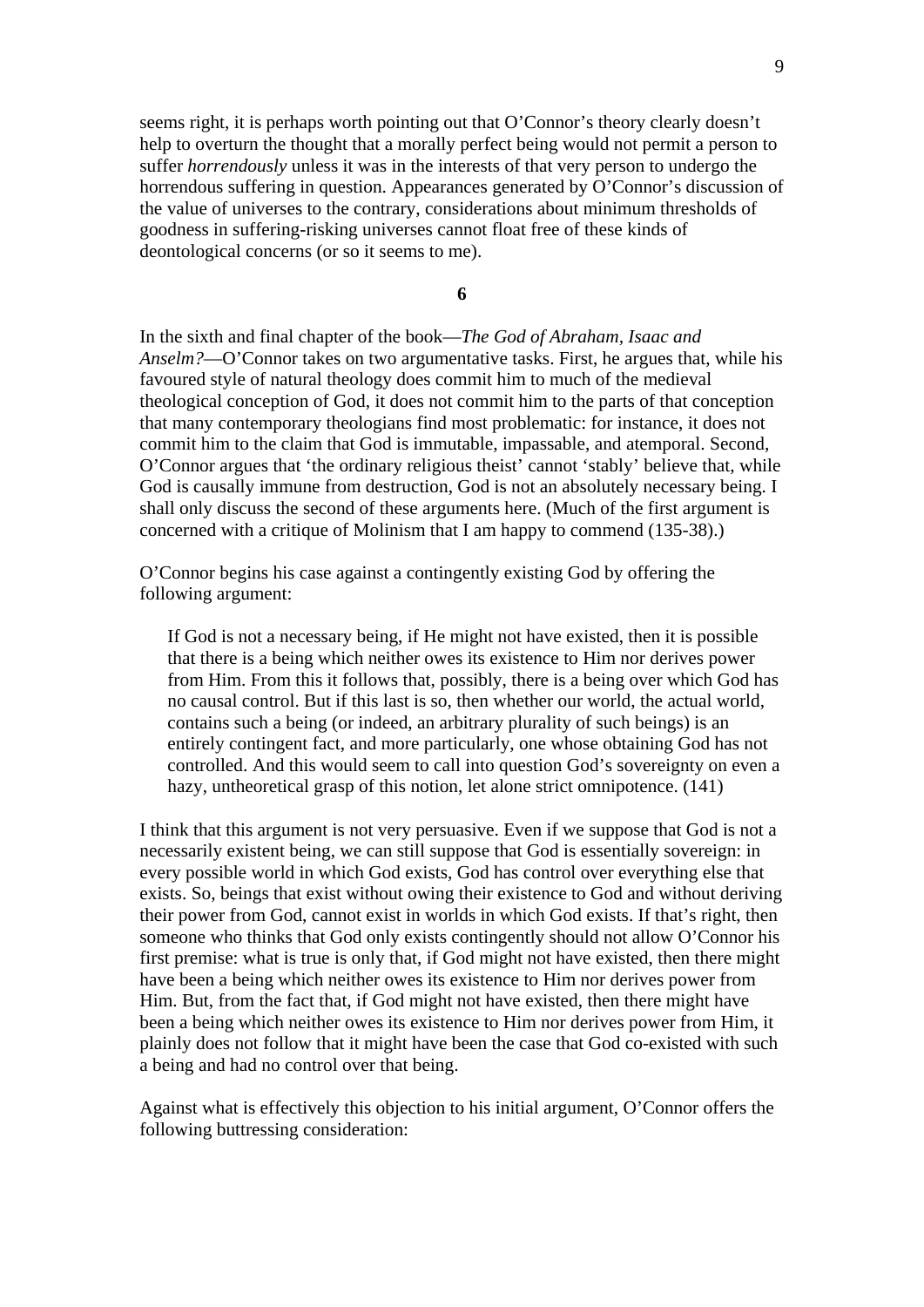seems right, it is perhaps worth pointing out that O'Connor's theory clearly doesn't help to overturn the thought that a morally perfect being would not permit a person to suffer *horrendously* unless it was in the interests of that very person to undergo the horrendous suffering in question. Appearances generated by O'Connor's discussion of the value of universes to the contrary, considerations about minimum thresholds of goodness in suffering-risking universes cannot float free of these kinds of deontological concerns (or so it seems to me).

**6** 

In the sixth and final chapter of the book—*The God of Abraham, Isaac and Anselm?*—O'Connor takes on two argumentative tasks. First, he argues that, while his favoured style of natural theology does commit him to much of the medieval theological conception of God, it does not commit him to the parts of that conception that many contemporary theologians find most problematic: for instance, it does not commit him to the claim that God is immutable, impassable, and atemporal. Second, O'Connor argues that 'the ordinary religious theist' cannot 'stably' believe that, while God is causally immune from destruction, God is not an absolutely necessary being. I shall only discuss the second of these arguments here. (Much of the first argument is concerned with a critique of Molinism that I am happy to commend (135-38).)

O'Connor begins his case against a contingently existing God by offering the following argument:

If God is not a necessary being, if He might not have existed, then it is possible that there is a being which neither owes its existence to Him nor derives power from Him. From this it follows that, possibly, there is a being over which God has no causal control. But if this last is so, then whether our world, the actual world, contains such a being (or indeed, an arbitrary plurality of such beings) is an entirely contingent fact, and more particularly, one whose obtaining God has not controlled. And this would seem to call into question God's sovereignty on even a hazy, untheoretical grasp of this notion, let alone strict omnipotence. (141)

I think that this argument is not very persuasive. Even if we suppose that God is not a necessarily existent being, we can still suppose that God is essentially sovereign: in every possible world in which God exists, God has control over everything else that exists. So, beings that exist without owing their existence to God and without deriving their power from God, cannot exist in worlds in which God exists. If that's right, then someone who thinks that God only exists contingently should not allow O'Connor his first premise: what is true is only that, if God might not have existed, then there might have been a being which neither owes its existence to Him nor derives power from Him. But, from the fact that, if God might not have existed, then there might have been a being which neither owes its existence to Him nor derives power from Him, it plainly does not follow that it might have been the case that God co-existed with such a being and had no control over that being.

Against what is effectively this objection to his initial argument, O'Connor offers the following buttressing consideration: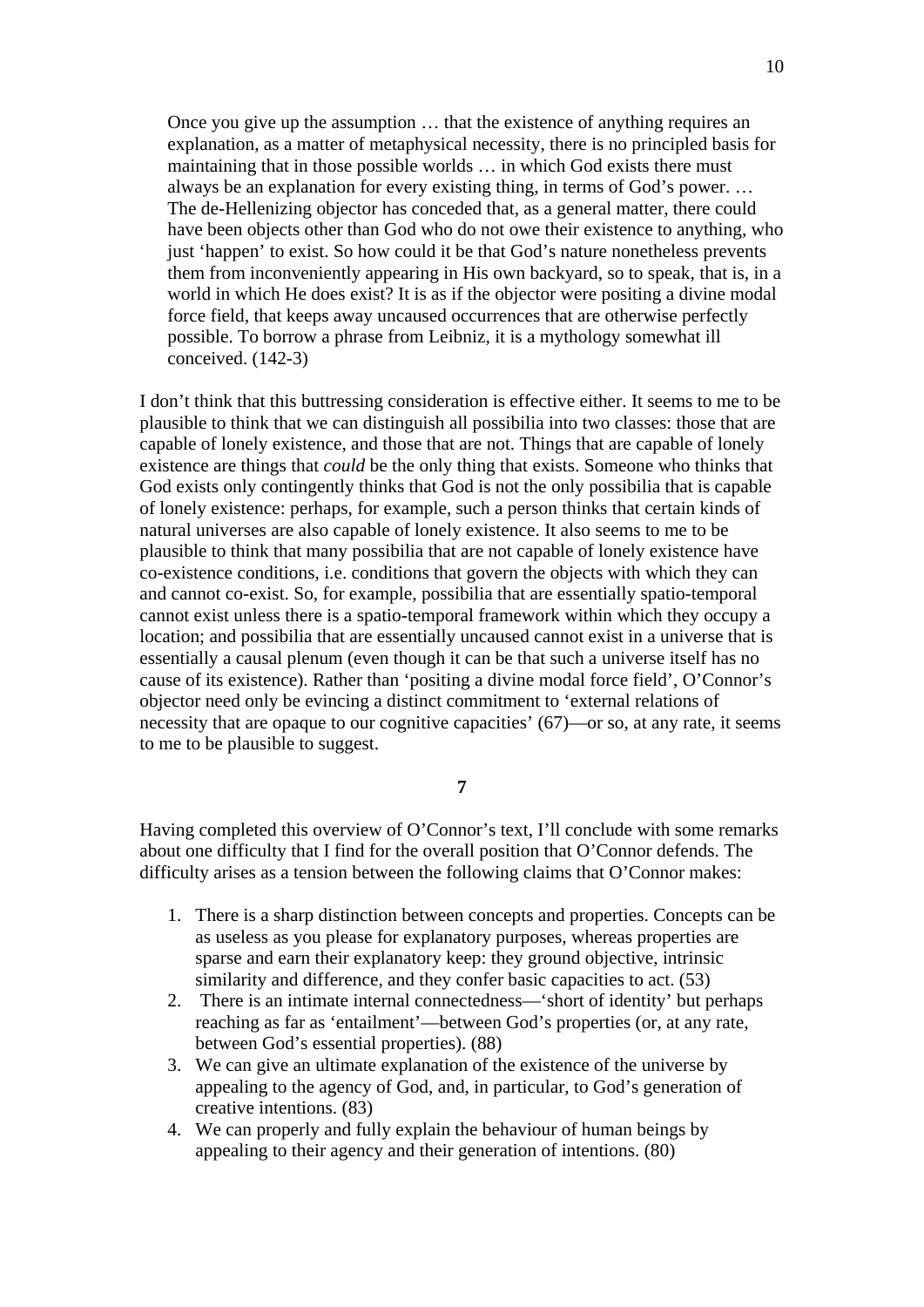Once you give up the assumption … that the existence of anything requires an explanation, as a matter of metaphysical necessity, there is no principled basis for maintaining that in those possible worlds … in which God exists there must always be an explanation for every existing thing, in terms of God's power. … The de-Hellenizing objector has conceded that, as a general matter, there could have been objects other than God who do not owe their existence to anything, who just 'happen' to exist. So how could it be that God's nature nonetheless prevents them from inconveniently appearing in His own backyard, so to speak, that is, in a world in which He does exist? It is as if the objector were positing a divine modal force field, that keeps away uncaused occurrences that are otherwise perfectly possible. To borrow a phrase from Leibniz, it is a mythology somewhat ill conceived. (142-3)

I don't think that this buttressing consideration is effective either. It seems to me to be plausible to think that we can distinguish all possibilia into two classes: those that are capable of lonely existence, and those that are not. Things that are capable of lonely existence are things that *could* be the only thing that exists. Someone who thinks that God exists only contingently thinks that God is not the only possibilia that is capable of lonely existence: perhaps, for example, such a person thinks that certain kinds of natural universes are also capable of lonely existence. It also seems to me to be plausible to think that many possibilia that are not capable of lonely existence have co-existence conditions, i.e. conditions that govern the objects with which they can and cannot co-exist. So, for example, possibilia that are essentially spatio-temporal cannot exist unless there is a spatio-temporal framework within which they occupy a location; and possibilia that are essentially uncaused cannot exist in a universe that is essentially a causal plenum (even though it can be that such a universe itself has no cause of its existence). Rather than 'positing a divine modal force field', O'Connor's objector need only be evincing a distinct commitment to 'external relations of necessity that are opaque to our cognitive capacities' (67)—or so, at any rate, it seems to me to be plausible to suggest.

## **7**

Having completed this overview of O'Connor's text, I'll conclude with some remarks about one difficulty that I find for the overall position that O'Connor defends. The difficulty arises as a tension between the following claims that O'Connor makes:

- 1. There is a sharp distinction between concepts and properties. Concepts can be as useless as you please for explanatory purposes, whereas properties are sparse and earn their explanatory keep: they ground objective, intrinsic similarity and difference, and they confer basic capacities to act. (53)
- 2. There is an intimate internal connectedness—'short of identity' but perhaps reaching as far as 'entailment'—between God's properties (or, at any rate, between God's essential properties). (88)
- 3. We can give an ultimate explanation of the existence of the universe by appealing to the agency of God, and, in particular, to God's generation of creative intentions. (83)
- 4. We can properly and fully explain the behaviour of human beings by appealing to their agency and their generation of intentions. (80)